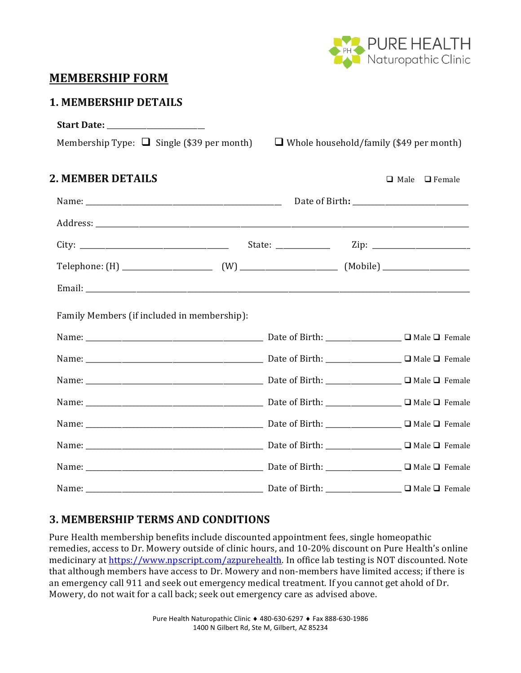

# **MEMBERSHIP FORM**

### **1. MEMBERSHIP DETAILS**

| <b>Start Date:</b> |                                                 |
|--------------------|-------------------------------------------------|
|                    | Membership Type: $\Box$ Single (\$39 per month) |

Type:  $\Box$  Single (\$39 per month)  $\Box$  Whole household/family (\$49 per month)

# **2. MEMBER DETAILS Q** Male **Q** Female

| Family Members (if included in membership): |  |  |  |  |  |
|---------------------------------------------|--|--|--|--|--|
|                                             |  |  |  |  |  |
|                                             |  |  |  |  |  |
|                                             |  |  |  |  |  |
|                                             |  |  |  |  |  |
|                                             |  |  |  |  |  |
|                                             |  |  |  |  |  |
|                                             |  |  |  |  |  |
|                                             |  |  |  |  |  |

## **3. MEMBERSHIP TERMS AND CONDITIONS**

Pure Health membership benefits include discounted appointment fees, single homeopathic remedies, access to Dr. Mowery outside of clinic hours, and 10-20% discount on Pure Health's online medicinary at https://www.npscript.com/azpurehealth. In office lab testing is NOT discounted. Note that although members have access to Dr. Mowery and non-members have limited access; if there is an emergency call 911 and seek out emergency medical treatment. If you cannot get ahold of Dr. Mowery, do not wait for a call back; seek out emergency care as advised above.